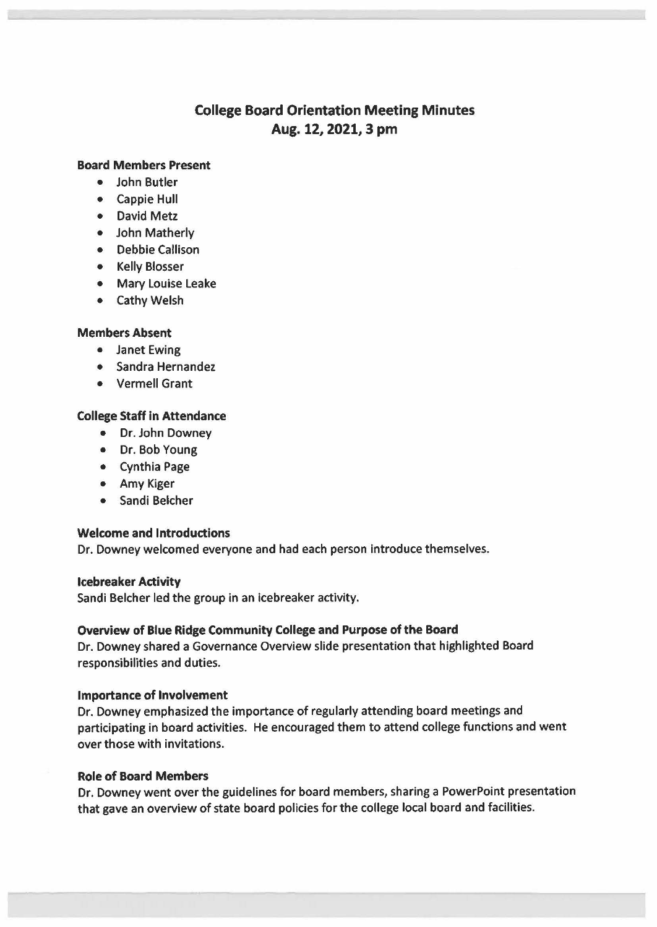# **College Board Orientation Meeting Minutes Aug. 12, 2021, 3 pm**

## **Board Members Present**

- John Butler
- Cappie Hull
- David Metz
- John Matherly
- Debbie Callison
- Kelly Blosser
- Mary Louise Leake
- Cathy Welsh

## **Members Absent**

- Janet Ewing
- Sandra Hernandez
- Vermell Grant

## **College Staff** in **Attendance**

- Dr. John Downey
- Dr. Bob Young
- Cynthia Page
- Amy Kiger
- Sandi Belcher

#### **Welcome and Introductions**

Dr. Downey welcomed everyone and had each person introduce themselves.

#### **Icebreaker Activity**

Sandi Belcher led the group in an icebreaker activity.

#### **Overview of Blue Ridge Community College and Purpose of the Board**

Dr. Downey shared a Governance Overview slide presentation that highlighted Board responsibilities and duties.

#### **Importance of Involvement**

Dr. Downey emphasized the importance of regularly attending board meetings and participating in board activities. He encouraged them to attend college functions and went over those with invitations.

#### **Role of Board Members**

Dr. Downey went over the guidelines for board members, sharing a PowerPoint presentation that gave an overview of state board policies for the college local board and facilities.